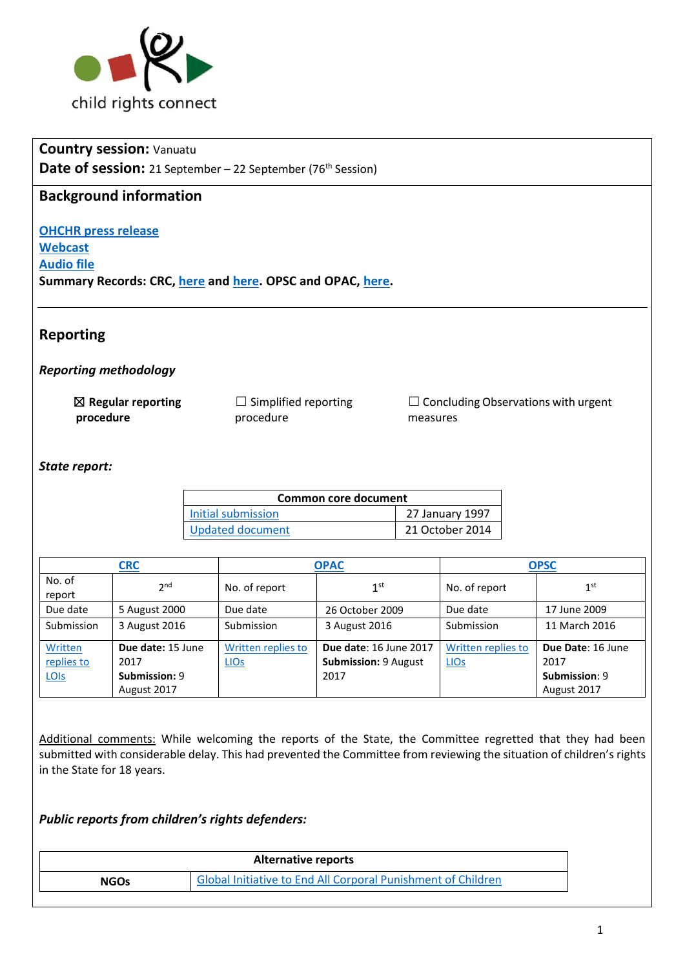

| <b>Country session: Vanuatu</b>                                                  |
|----------------------------------------------------------------------------------|
| <b>Date of session:</b> 21 September $-$ 22 September (76 <sup>th</sup> Session) |
| <b>Background information</b>                                                    |
| <b>OHCHR press release</b>                                                       |
|                                                                                  |
| <b>Webcast</b>                                                                   |
| <b>Audio file</b>                                                                |
| Summary Records: CRC, here and here. OPSC and OPAC, here.                        |
|                                                                                  |
|                                                                                  |
| <b>Reporting</b>                                                                 |
|                                                                                  |

## *Reporting methodology*

| $\boxtimes$ Regular reporting | $\Box$ Simplified reporting | $\Box$ Concluding Observations with urgent |
|-------------------------------|-----------------------------|--------------------------------------------|
| procedure                     | procedure                   | measures                                   |

### *State report:*

| Common core document |                 |  |
|----------------------|-----------------|--|
| Initial submission   | 27 January 1997 |  |
| Updated document     | 21 October 2014 |  |

|                                      | <b>CRC</b>                                                |                                   | <b>OPAC</b>                                                          |                                   | <b>OPSC</b>                                               |
|--------------------------------------|-----------------------------------------------------------|-----------------------------------|----------------------------------------------------------------------|-----------------------------------|-----------------------------------------------------------|
| No. of<br>report                     | 2 <sub>nd</sub>                                           | No. of report                     | 1 <sup>st</sup>                                                      | No. of report                     | 1 <sup>st</sup>                                           |
| Due date                             | 5 August 2000                                             | Due date                          | 26 October 2009                                                      | Due date                          | 17 June 2009                                              |
| Submission                           | 3 August 2016                                             | Submission                        | 3 August 2016                                                        | Submission                        | 11 March 2016                                             |
| Written<br>replies to<br><b>LOIS</b> | Due date: 15 June<br>2017<br>Submission: 9<br>August 2017 | Written replies to<br><b>LIOS</b> | <b>Due date: 16 June 2017</b><br><b>Submission: 9 August</b><br>2017 | Written replies to<br><b>LIOS</b> | Due Date: 16 June<br>2017<br>Submission: 9<br>August 2017 |

Additional comments: While welcoming the reports of the State, the Committee regretted that they had been submitted with considerable delay. This had prevented the Committee from reviewing the situation of children's rights in the State for 18 years.

#### *Public reports from children's rights defenders:*

| <b>Alternative reports</b> |                                                              |  |
|----------------------------|--------------------------------------------------------------|--|
| <b>NGOs</b>                | Global Initiative to End All Corporal Punishment of Children |  |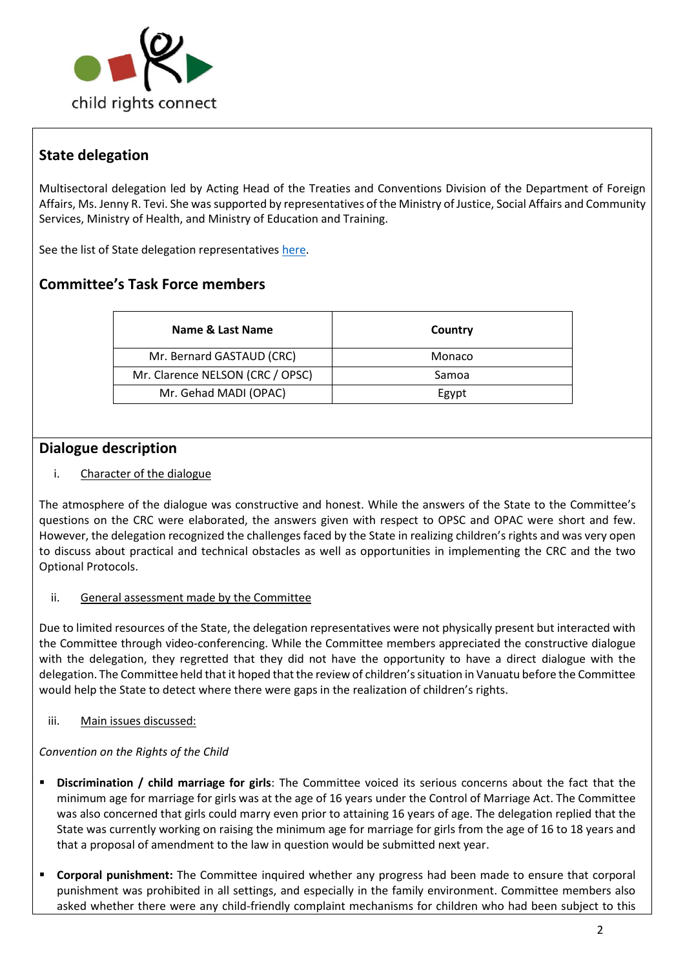

# **State delegation**

Multisectoral delegation led by Acting Head of the Treaties and Conventions Division of the Department of Foreign Affairs, Ms. Jenny R. Tevi. She was supported by representatives of the Ministry of Justice, Social Affairs and Community Services, Ministry of Health, and Ministry of Education and Training.

See the list of State delegation representatives [here.](http://tbinternet.ohchr.org/_layouts/treatybodyexternal/Download.aspx?symbolno=INT%2fCRC%2fLOP%2fVUT%2f28939&Lang=en)

# **Committee's Task Force members**

| Name & Last Name                 | Country |
|----------------------------------|---------|
| Mr. Bernard GASTAUD (CRC)        | Monaco  |
| Mr. Clarence NELSON (CRC / OPSC) | Samoa   |
| Mr. Gehad MADI (OPAC)            | Egypt   |

## **Dialogue description**

### i. Character of the dialogue

The atmosphere of the dialogue was constructive and honest. While the answers of the State to the Committee's questions on the CRC were elaborated, the answers given with respect to OPSC and OPAC were short and few. However, the delegation recognized the challenges faced by the State in realizing children's rights and was very open to discuss about practical and technical obstacles as well as opportunities in implementing the CRC and the two Optional Protocols.

#### ii. General assessment made by the Committee

Due to limited resources of the State, the delegation representatives were not physically present but interacted with the Committee through video-conferencing. While the Committee members appreciated the constructive dialogue with the delegation, they regretted that they did not have the opportunity to have a direct dialogue with the delegation. The Committee held that it hoped that the review of children's situation in Vanuatu before the Committee would help the State to detect where there were gaps in the realization of children's rights.

iii. Main issues discussed:

#### *Convention on the Rights of the Child*

- **Discrimination / child marriage for girls:** The Committee voiced its serious concerns about the fact that the minimum age for marriage for girls was at the age of 16 years under the Control of Marriage Act. The Committee was also concerned that girls could marry even prior to attaining 16 years of age. The delegation replied that the State was currently working on raising the minimum age for marriage for girls from the age of 16 to 18 years and that a proposal of amendment to the law in question would be submitted next year.
- **Corporal punishment:** The Committee inquired whether any progress had been made to ensure that corporal punishment was prohibited in all settings, and especially in the family environment. Committee members also asked whether there were any child-friendly complaint mechanisms for children who had been subject to this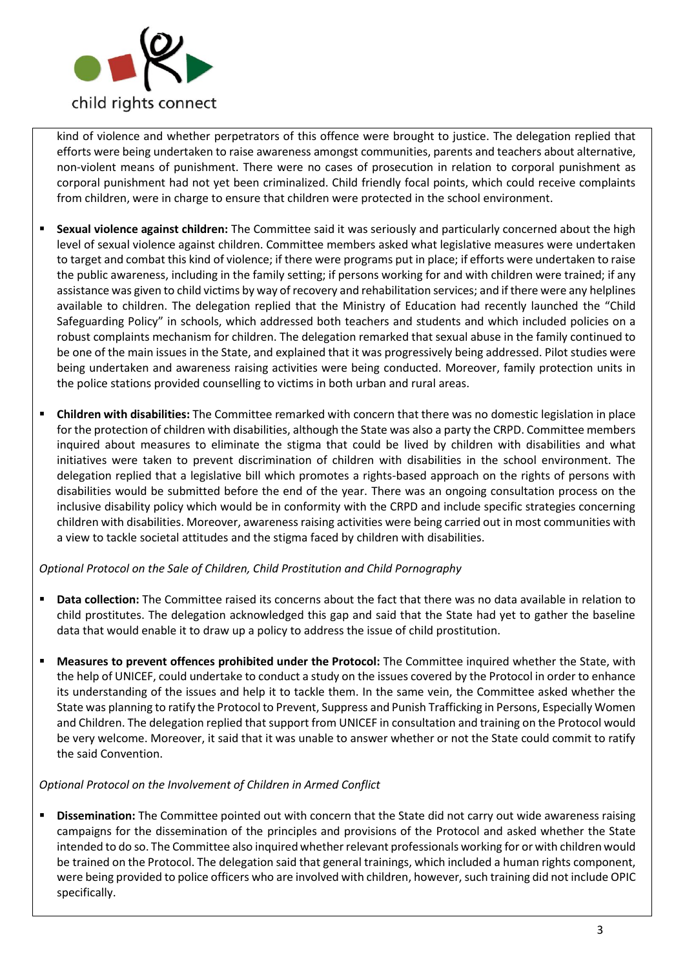

kind of violence and whether perpetrators of this offence were brought to justice. The delegation replied that efforts were being undertaken to raise awareness amongst communities, parents and teachers about alternative, non-violent means of punishment. There were no cases of prosecution in relation to corporal punishment as corporal punishment had not yet been criminalized. Child friendly focal points, which could receive complaints from children, were in charge to ensure that children were protected in the school environment.

- **Sexual violence against children:** The Committee said it was seriously and particularly concerned about the high level of sexual violence against children. Committee members asked what legislative measures were undertaken to target and combat this kind of violence; if there were programs put in place; if efforts were undertaken to raise the public awareness, including in the family setting; if persons working for and with children were trained; if any assistance was given to child victims by way of recovery and rehabilitation services; and if there were any helplines available to children. The delegation replied that the Ministry of Education had recently launched the "Child Safeguarding Policy" in schools, which addressed both teachers and students and which included policies on a robust complaints mechanism for children. The delegation remarked that sexual abuse in the family continued to be one of the main issues in the State, and explained that it was progressively being addressed. Pilot studies were being undertaken and awareness raising activities were being conducted. Moreover, family protection units in the police stations provided counselling to victims in both urban and rural areas.
- **Children with disabilities:** The Committee remarked with concern that there was no domestic legislation in place for the protection of children with disabilities, although the State was also a party the CRPD. Committee members inquired about measures to eliminate the stigma that could be lived by children with disabilities and what initiatives were taken to prevent discrimination of children with disabilities in the school environment. The delegation replied that a legislative bill which promotes a rights-based approach on the rights of persons with disabilities would be submitted before the end of the year. There was an ongoing consultation process on the inclusive disability policy which would be in conformity with the CRPD and include specific strategies concerning children with disabilities. Moreover, awareness raising activities were being carried out in most communities with a view to tackle societal attitudes and the stigma faced by children with disabilities.

#### *Optional Protocol on the Sale of Children, Child Prostitution and Child Pornography*

- **Data collection:** The Committee raised its concerns about the fact that there was no data available in relation to child prostitutes. The delegation acknowledged this gap and said that the State had yet to gather the baseline data that would enable it to draw up a policy to address the issue of child prostitution.
- **Measures to prevent offences prohibited under the Protocol:** The Committee inquired whether the State, with the help of UNICEF, could undertake to conduct a study on the issues covered by the Protocol in order to enhance its understanding of the issues and help it to tackle them. In the same vein, the Committee asked whether the State was planning to ratify the Protocol to Prevent, Suppress and Punish Trafficking in Persons, Especially Women and Children. The delegation replied that support from UNICEF in consultation and training on the Protocol would be very welcome. Moreover, it said that it was unable to answer whether or not the State could commit to ratify the said Convention.

#### *Optional Protocol on the Involvement of Children in Armed Conflict*

**Dissemination:** The Committee pointed out with concern that the State did not carry out wide awareness raising campaigns for the dissemination of the principles and provisions of the Protocol and asked whether the State intended to do so. The Committee also inquired whether relevant professionals working for or with children would be trained on the Protocol. The delegation said that general trainings, which included a human rights component, were being provided to police officers who are involved with children, however, such training did not include OPIC specifically.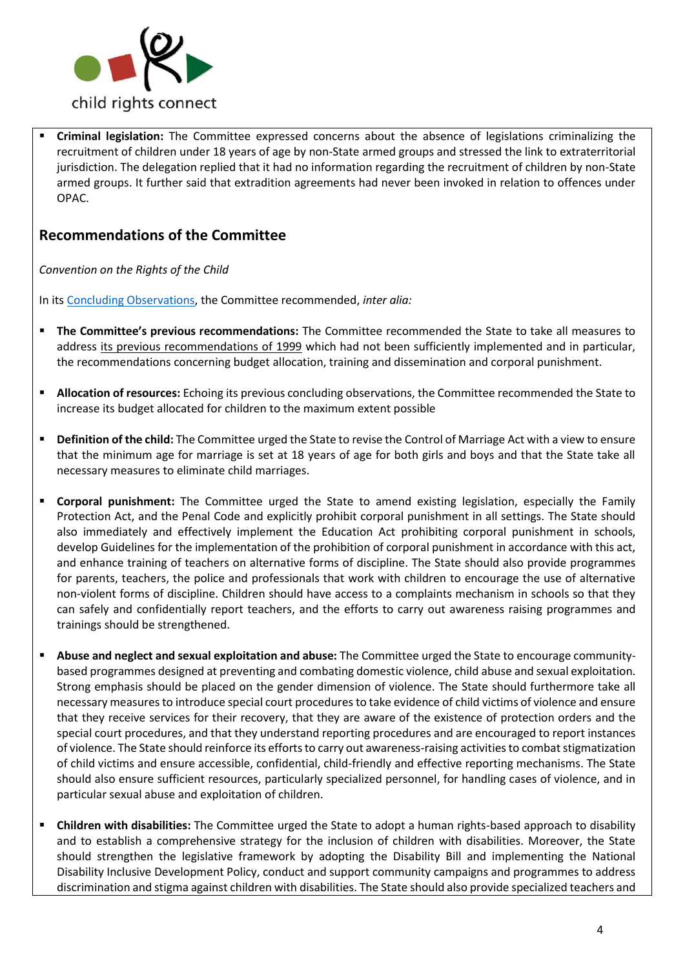

▪ **Criminal legislation:** The Committee expressed concerns about the absence of legislations criminalizing the recruitment of children under 18 years of age by non-State armed groups and stressed the link to extraterritorial jurisdiction. The delegation replied that it had no information regarding the recruitment of children by non-State armed groups. It further said that extradition agreements had never been invoked in relation to offences under OPAC.

## **Recommendations of the Committee**

*Convention on the Rights of the Child* 

In its [Concluding Observations,](http://tbinternet.ohchr.org/_layouts/treatybodyexternal/Download.aspx?symbolno=CRC%2fC%2fVUT%2fCO%2f2&Lang=en) the Committee recommended, *inter alia:* 

- **The Committee's previous recommendations:** The Committee recommended the State to take all measures to address [its previous recommendations of 1999](http://tbinternet.ohchr.org/_layouts/treatybodyexternal/Download.aspx?symbolno=CRC%2fC%2f15%2fAdd.111&Lang=en) which had not been sufficiently implemented and in particular, the recommendations concerning budget allocation, training and dissemination and corporal punishment.
- Allocation of resources: Echoing its previous concluding observations, the Committee recommended the State to increase its budget allocated for children to the maximum extent possible
- **Definition of the child:** The Committee urged the State to revise the Control of Marriage Act with a view to ensure that the minimum age for marriage is set at 18 years of age for both girls and boys and that the State take all necessary measures to eliminate child marriages.
- **Corporal punishment:** The Committee urged the State to amend existing legislation, especially the Family Protection Act, and the Penal Code and explicitly prohibit corporal punishment in all settings. The State should also immediately and effectively implement the Education Act prohibiting corporal punishment in schools, develop Guidelines for the implementation of the prohibition of corporal punishment in accordance with this act, and enhance training of teachers on alternative forms of discipline. The State should also provide programmes for parents, teachers, the police and professionals that work with children to encourage the use of alternative non-violent forms of discipline. Children should have access to a complaints mechanism in schools so that they can safely and confidentially report teachers, and the efforts to carry out awareness raising programmes and trainings should be strengthened.
- **Abuse and neglect and sexual exploitation and abuse:** The Committee urged the State to encourage communitybased programmes designed at preventing and combating domestic violence, child abuse and sexual exploitation. Strong emphasis should be placed on the gender dimension of violence. The State should furthermore take all necessary measures to introduce special court procedures to take evidence of child victims of violence and ensure that they receive services for their recovery, that they are aware of the existence of protection orders and the special court procedures, and that they understand reporting procedures and are encouraged to report instances of violence. The State should reinforce its efforts to carry out awareness-raising activities to combat stigmatization of child victims and ensure accessible, confidential, child-friendly and effective reporting mechanisms. The State should also ensure sufficient resources, particularly specialized personnel, for handling cases of violence, and in particular sexual abuse and exploitation of children.
- **Children with disabilities:** The Committee urged the State to adopt a human rights-based approach to disability and to establish a comprehensive strategy for the inclusion of children with disabilities. Moreover, the State should strengthen the legislative framework by adopting the Disability Bill and implementing the National Disability Inclusive Development Policy, conduct and support community campaigns and programmes to address discrimination and stigma against children with disabilities. The State should also provide specialized teachers and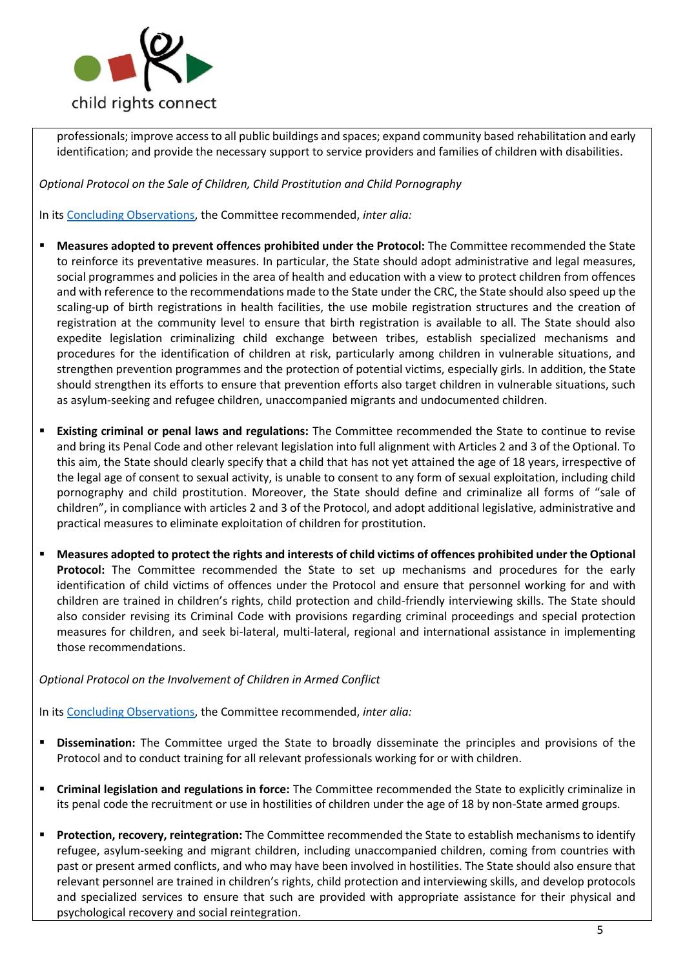

professionals; improve access to all public buildings and spaces; expand community based rehabilitation and early identification; and provide the necessary support to service providers and families of children with disabilities.

*Optional Protocol on the Sale of Children, Child Prostitution and Child Pornography*

In its [Concluding Observations,](http://tbinternet.ohchr.org/_layouts/treatybodyexternal/Download.aspx?symbolno=CRC%2fC%2fOPSC%2fVUT%2fCO%2f1&Lang=en) the Committee recommended, *inter alia:* 

- **Measures adopted to prevent offences prohibited under the Protocol:** The Committee recommended the State to reinforce its preventative measures. In particular, the State should adopt administrative and legal measures, social programmes and policies in the area of health and education with a view to protect children from offences and with reference to the recommendations made to the State under the CRC, the State should also speed up the scaling-up of birth registrations in health facilities, the use mobile registration structures and the creation of registration at the community level to ensure that birth registration is available to all. The State should also expedite legislation criminalizing child exchange between tribes, establish specialized mechanisms and procedures for the identification of children at risk, particularly among children in vulnerable situations, and strengthen prevention programmes and the protection of potential victims, especially girls. In addition, the State should strengthen its efforts to ensure that prevention efforts also target children in vulnerable situations, such as asylum-seeking and refugee children, unaccompanied migrants and undocumented children.
- **Existing criminal or penal laws and regulations:** The Committee recommended the State to continue to revise and bring its Penal Code and other relevant legislation into full alignment with Articles 2 and 3 of the Optional. To this aim, the State should clearly specify that a child that has not yet attained the age of 18 years, irrespective of the legal age of consent to sexual activity, is unable to consent to any form of sexual exploitation, including child pornography and child prostitution. Moreover, the State should define and criminalize all forms of "sale of children", in compliance with articles 2 and 3 of the Protocol, and adopt additional legislative, administrative and practical measures to eliminate exploitation of children for prostitution.
- **Measures adopted to protect the rights and interests of child victims of offences prohibited under the Optional Protocol:** The Committee recommended the State to set up mechanisms and procedures for the early identification of child victims of offences under the Protocol and ensure that personnel working for and with children are trained in children's rights, child protection and child-friendly interviewing skills. The State should also consider revising its Criminal Code with provisions regarding criminal proceedings and special protection measures for children, and seek bi-lateral, multi-lateral, regional and international assistance in implementing those recommendations.

*Optional Protocol on the Involvement of Children in Armed Conflict*

In its [Concluding Observations,](http://tbinternet.ohchr.org/_layouts/treatybodyexternal/Download.aspx?symbolno=CRC%2fC%2fOPAC%2fVUT%2fCO%2f1&Lang=en) the Committee recommended, *inter alia:* 

- **Dissemination:** The Committee urged the State to broadly disseminate the principles and provisions of the Protocol and to conduct training for all relevant professionals working for or with children.
- **Criminal legislation and regulations in force:** The Committee recommended the State to explicitly criminalize in its penal code the recruitment or use in hostilities of children under the age of 18 by non-State armed groups.
- **Protection, recovery, reintegration:** The Committee recommended the State to establish mechanisms to identify refugee, asylum-seeking and migrant children, including unaccompanied children, coming from countries with past or present armed conflicts, and who may have been involved in hostilities. The State should also ensure that relevant personnel are trained in children's rights, child protection and interviewing skills, and develop protocols and specialized services to ensure that such are provided with appropriate assistance for their physical and psychological recovery and social reintegration.